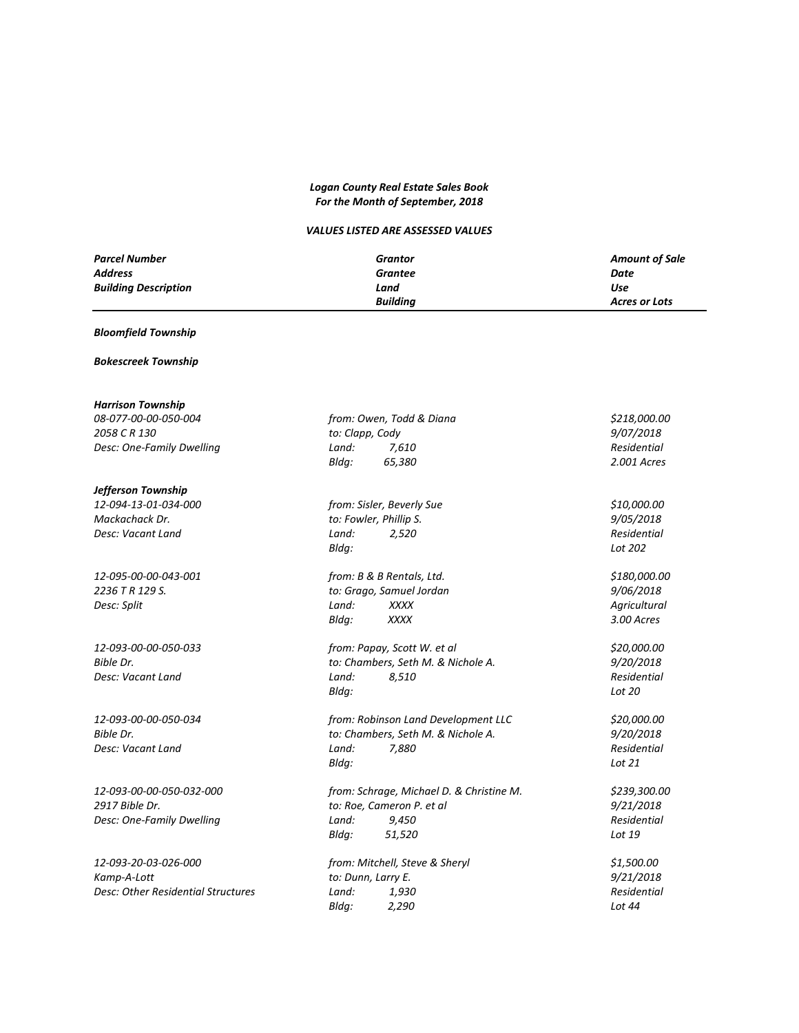# *Logan County Real Estate Sales Book For the Month of September, 2018*

# *VALUES LISTED ARE ASSESSED VALUES*

| <b>Parcel Number</b>        | Grantor         | <b>Amount of Sale</b> |
|-----------------------------|-----------------|-----------------------|
| <b>Address</b>              | Grantee         | Date                  |
| <b>Building Description</b> | Land            | Use                   |
|                             | <b>Building</b> | <b>Acres or Lots</b>  |

## *Bloomfield Township*

## *Bokescreek Township*

| <b>Harrison Township</b>  |  |  |  |  |
|---------------------------|--|--|--|--|
| 08-077-00-00-050-004      |  |  |  |  |
| 2058 C R 130              |  |  |  |  |
| Desc: One-Family Dwelling |  |  |  |  |

## *Jefferson Township*

| <b>Harrison Township</b>           |                                          |              |
|------------------------------------|------------------------------------------|--------------|
| 08-077-00-00-050-004               | from: Owen, Todd & Diana                 | \$218,000.00 |
| 2058 C R 130                       | to: Clapp, Cody                          | 9/07/2018    |
| Desc: One-Family Dwelling          | Land:<br>7,610                           | Residential  |
|                                    | Bldg:<br>65,380                          | 2.001 Acres  |
| Jefferson Township                 |                                          |              |
| 12-094-13-01-034-000               | from: Sisler, Beverly Sue                | \$10,000.00  |
| Mackachack Dr.                     | to: Fowler, Phillip S.                   | 9/05/2018    |
| Desc: Vacant Land                  | Land:<br>2,520                           | Residential  |
|                                    | Bldq:                                    | Lot 202      |
| 12-095-00-00-043-001               | from: B & B Rentals, Ltd.                | \$180,000.00 |
| 2236 T R 129 S.                    | to: Grago, Samuel Jordan                 | 9/06/2018    |
| Desc: Split                        | Land:<br><b>XXXX</b>                     | Agricultural |
|                                    | Bldg:<br><b>XXXX</b>                     | 3.00 Acres   |
| 12-093-00-00-050-033               | from: Papay, Scott W. et al              | \$20,000.00  |
| Bible Dr.                          | to: Chambers, Seth M. & Nichole A.       | 9/20/2018    |
| Desc: Vacant Land                  | Land:<br>8,510                           | Residential  |
|                                    | Bldq:                                    | Lot 20       |
| 12-093-00-00-050-034               | from: Robinson Land Development LLC      | \$20,000.00  |
| Bible Dr.                          | to: Chambers, Seth M. & Nichole A.       | 9/20/2018    |
| Desc: Vacant Land                  | Land:<br>7,880                           | Residential  |
|                                    | Bldg:                                    | Lot 21       |
| 12-093-00-00-050-032-000           | from: Schrage, Michael D. & Christine M. | \$239,300.00 |
| 2917 Bible Dr.                     | to: Roe, Cameron P. et al                | 9/21/2018    |
| Desc: One-Family Dwelling          | Land:<br>9,450                           | Residential  |
|                                    | Bldg:<br>51,520                          | Lot 19       |
| 12-093-20-03-026-000               | from: Mitchell, Steve & Sheryl           | \$1,500.00   |
| Kamp-A-Lott                        | to: Dunn, Larry E.                       | 9/21/2018    |
| Desc: Other Residential Structures | Land:<br>1.930                           | Residential  |

*Bldg: 2,290 Lot 44*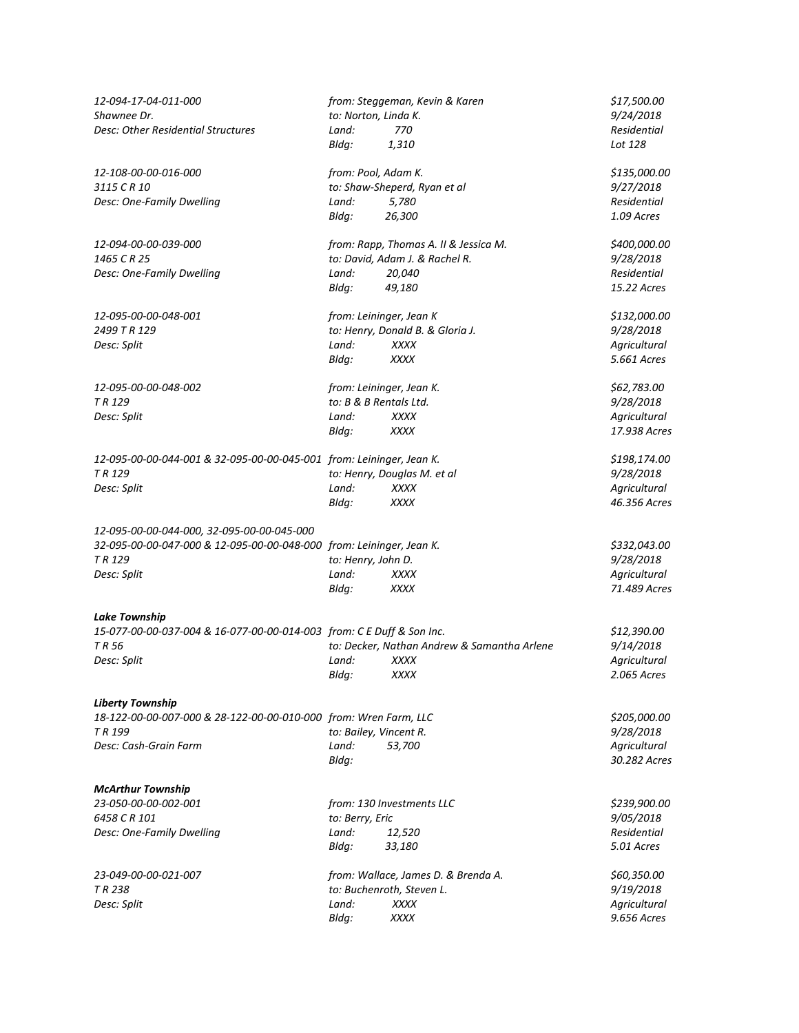| 12-094-17-04-011-000<br>Shawnee Dr.<br>Desc: Other Residential Structures                                                                              | to: Norton, Linda K.<br>Land:                  | from: Steggeman, Kevin & Karen<br>770                                                          | \$17,500.00<br>9/24/2018<br>Residential                           |
|--------------------------------------------------------------------------------------------------------------------------------------------------------|------------------------------------------------|------------------------------------------------------------------------------------------------|-------------------------------------------------------------------|
| 12-108-00-00-016-000<br>3115 C R 10<br>Desc: One-Family Dwelling                                                                                       | Bldg:<br>from: Pool, Adam K.<br>Land:<br>Bldg: | 1,310<br>to: Shaw-Sheperd, Ryan et al<br>5,780<br>26,300                                       | Lot 128<br>\$135,000.00<br>9/27/2018<br>Residential<br>1.09 Acres |
| 12-094-00-00-039-000<br>1465 C R 25<br>Desc: One-Family Dwelling                                                                                       | Land:<br>Bldg:                                 | from: Rapp, Thomas A. II & Jessica M.<br>to: David, Adam J. & Rachel R.<br>20,040<br>49,180    | \$400,000.00<br>9/28/2018<br>Residential<br>15.22 Acres           |
| 12-095-00-00-048-001<br>2499 T R 129<br>Desc: Split                                                                                                    | Land:<br>Bldg:                                 | from: Leininger, Jean K<br>to: Henry, Donald B. & Gloria J.<br><b>XXXX</b><br>XXXX             | \$132,000.00<br>9/28/2018<br>Agricultural<br>5.661 Acres          |
| 12-095-00-00-048-002<br>TR <sub>129</sub><br>Desc: Split                                                                                               | to: B & B Rentals Ltd.<br>Land:<br>Bldg:       | from: Leininger, Jean K.<br><b>XXXX</b><br>XXXX                                                | \$62,783.00<br>9/28/2018<br>Agricultural<br>17.938 Acres          |
| 12-095-00-00-044-001 & 32-095-00-00-045-001 from: Leininger, Jean K.<br>TR <sub>129</sub><br>Desc: Split                                               | Land:<br>Bldg:                                 | to: Henry, Douglas M. et al<br><b>XXXX</b><br><b>XXXX</b>                                      | \$198,174.00<br>9/28/2018<br>Agricultural<br>46.356 Acres         |
| 12-095-00-00-044-000, 32-095-00-00-045-000<br>32-095-00-00-047-000 & 12-095-00-00-048-000 from: Leininger, Jean K.<br>TR <sub>129</sub><br>Desc: Split | to: Henry, John D.<br>Land:<br>Bldg:           | XXXX<br>XXXX                                                                                   | \$332,043.00<br>9/28/2018<br>Agricultural<br>71.489 Acres         |
| <b>Lake Township</b><br>15-077-00-00-037-004 & 16-077-00-00-014-003 from: C E Duff & Son Inc.<br>TR 56<br>Desc: Split                                  | Land:<br>Bldg:                                 | to: Decker, Nathan Andrew & Samantha Arlene<br>XXXX<br>XXXX                                    | \$12,390.00<br>9/14/2018<br>Agricultural<br>2.065 Acres           |
| <b>Liberty Township</b><br>18-122-00-00-007-000 & 28-122-00-00-010-000 from: Wren Farm, LLC<br>TR <sub>199</sub><br>Desc: Cash-Grain Farm              | to: Bailey, Vincent R.<br>Land:<br>Bldg:       | 53,700                                                                                         | \$205,000.00<br>9/28/2018<br>Agricultural<br>30.282 Acres         |
| <b>McArthur Township</b><br>23-050-00-00-002-001<br>6458 C R 101<br>Desc: One-Family Dwelling                                                          | to: Berry, Eric<br>Land:<br>Bldg:              | from: 130 Investments LLC<br>12,520<br>33,180                                                  | \$239,900.00<br>9/05/2018<br>Residential<br>5.01 Acres            |
| 23-049-00-00-021-007<br>TR 238<br>Desc: Split                                                                                                          | Land:<br>Bldg:                                 | from: Wallace, James D. & Brenda A.<br>to: Buchenroth, Steven L.<br><b>XXXX</b><br><b>XXXX</b> | \$60,350.00<br>9/19/2018<br>Agricultural<br>9.656 Acres           |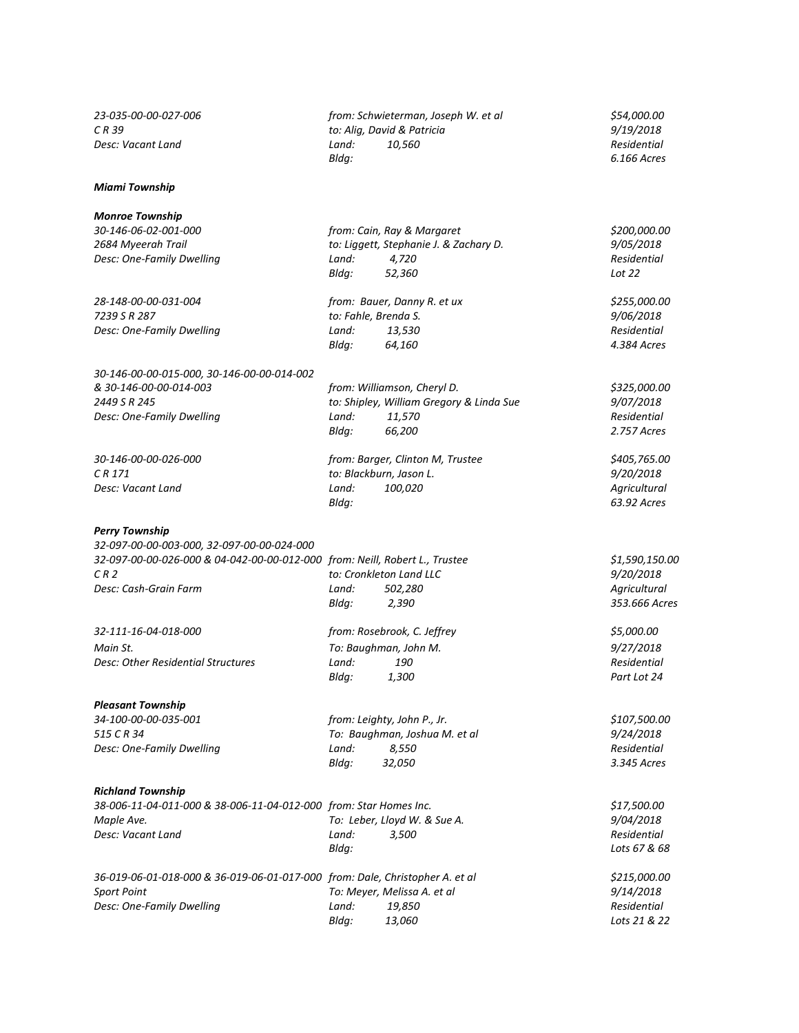## *Miami Township*

#### *Monroe Township*

*30-146-00-00-015-000, 30-146-00-00-014-002 & 30-146-00-00-014-003 from: Williamson, Cheryl D. \$325,000.00 2449 S R 245 to: Shipley, William Gregory & Linda Sue 9/07/2018 Desc: One-Family Dwelling Land: 11,570 Residential*

## *Perry Township*

*32-097-00-00-003-000, 32-097-00-00-024-000 32-097-00-00-026-000 & 04-042-00-00-012-000 from: Neill, Robert L., Trustee \$1,590,150.00 C R 2 to: Cronkleton Land LLC 9/20/2018 Desc: Cash-Grain Farm Land: 502,280 Agricultural*

*32-111-16-04-018-000 from: Rosebrook, C. Jeffrey \$5,000.00 Main St. To: Baughman, John M. 9/27/2018*

#### *Pleasant Township*

*515 C R 34 To: Baughman, Joshua M. et al 9/24/2018 Desc: One-Family Dwelling Land: 8,550 Residential Bldg: 32,050 3.345 Acres*

#### *Richland Township*

| 38-006-11-04-011-000 & 38-006-11-04-012-000 from: Star Homes Inc. |       |                              | \$17,500.00  |
|-------------------------------------------------------------------|-------|------------------------------|--------------|
| Maple Ave.                                                        |       | To: Leber, Lloyd W. & Sue A. | 9/04/2018    |
| Desc: Vacant Land                                                 | Land: | 3.500                        | Residential  |
|                                                                   | Blda: |                              | Lots 67 & 68 |
|                                                                   |       |                              |              |

| 36-019-06-01-018-000 & 36-019-06-01-017-000 from: Dale, Christopher A. et al |       |                             | \$215,000.00     |
|------------------------------------------------------------------------------|-------|-----------------------------|------------------|
| <b>Sport Point</b>                                                           |       | To: Meyer, Melissa A. et al | <i>9/14/2018</i> |
| Desc: One-Family Dwelling                                                    | Land: | 19.850                      | Residential      |
|                                                                              | Blda: | 13.060                      | Lots 21 & 22     |

*23-035-00-00-027-006 from: Schwieterman, Joseph W. et al \$54,000.00 C R 39 to: Alig, David & Patricia 9/19/2018 Desc: Vacant Land Land: 10,560 Residential Bldg: 6.166 Acres*

*30-146-06-02-001-000 from: Cain, Ray & Margaret \$200,000.00 2684 Myeerah Trail to: Liggett, Stephanie J. & Zachary D. 9/05/2018 Desc: One-Family Dwelling Land: 4,720 Residential Bldg: 52,360 Lot 22*

*28-148-00-00-031-004 from: Bauer, Danny R. et ux \$255,000.00 7239 S R 287 to: Fahle, Brenda S. 9/06/2018 Desc: One-Family Dwelling Land: 13,530 Residential Bldg: 64,160 4.384 Acres*

*Bldg: 66,200 2.757 Acres*

*30-146-00-00-026-000 from: Barger, Clinton M, Trustee \$405,765.00 C R 171 to: Blackburn, Jason L. 9/20/2018 Desc: Vacant Land Land: 100,020 Agricultural Bldg: 63.92 Acres*

*Bldg: 2,390 353.666 Acres*

*Desc: Other Residential Structures Land:* 190 *Residential Residential Residential Bldg:* 1,300 *Part Lot 24 Bldg: 1,300 Part Lot 24* 

*34-100-00-00-035-001 from: Leighty, John P., Jr. \$107,500.00*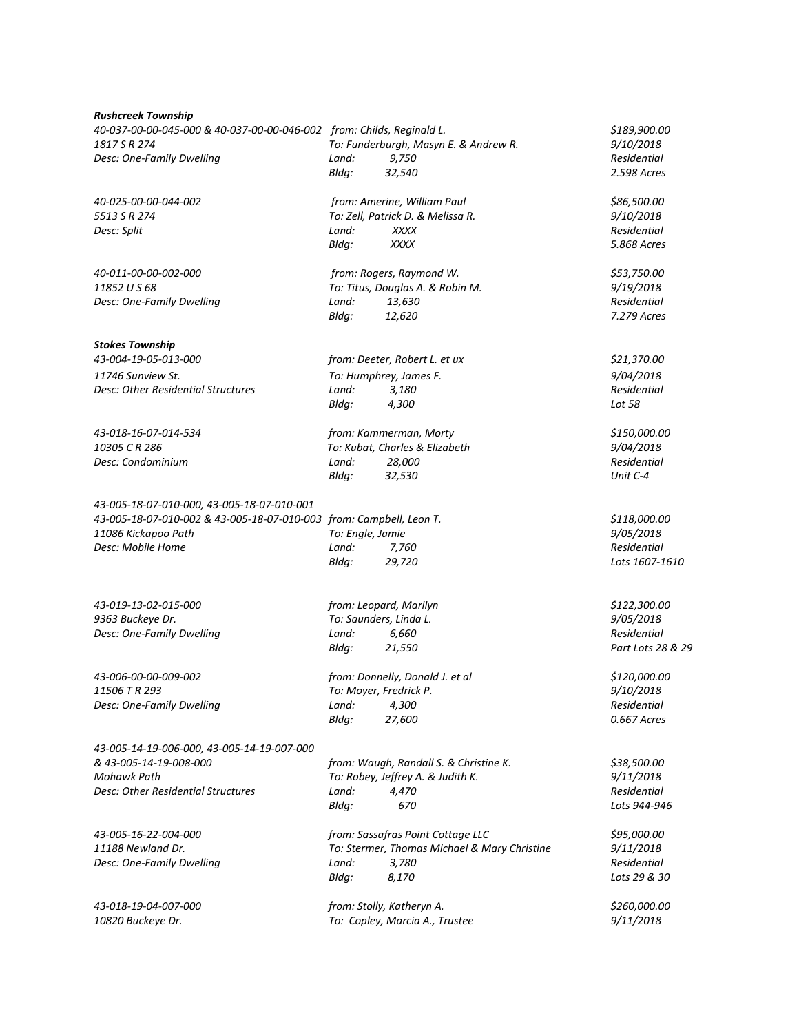#### *Rushcreek Township*

*40-037-00-00-045-000 & 40-037-00-00-046-002 from: Childs, Reginald L. \$189,900.00 1817 S R 274 To: Funderburgh, Masyn E. & Andrew R. 9/10/2018 Desc: One-Family Dwelling Land: 9,750 Residential*

*40-025-00-00-044-002 from: Amerine, William Paul \$86,500.00 5513 S R 274 To: Zell, Patrick D. & Melissa R. 9/10/2018 Desc: Split Land: XXXX Residential*

*40-011-00-00-002-000 from: Rogers, Raymond W. \$53,750.00 11852 U S 68 To: Titus, Douglas A. & Robin M. 9/19/2018 Desc: One-Family Dwelling Land: 13,630 Residential*

## *Stokes Township*

*43-004-19-05-013-000 from: Deeter, Robert L. et ux \$21,370.00 11746 Sunview St. To: Humphrey, James F. 9/04/2018 Desc: Other Residential Structures Land: 3,180 Residential*

*43-018-16-07-014-534 from: Kammerman, Morty \$150,000.00 10305 C R 286 To: Kubat, Charles & Elizabeth 9/04/2018 Desc: Condominium Land: 28,000 Residential*

*43-005-18-07-010-000, 43-005-18-07-010-001 43-005-18-07-010-002 & 43-005-18-07-010-003 from: Campbell, Leon T. \$118,000.00 11086 Kickapoo Path To: Engle, Jamie 9/05/2018 Desc: Mobile Home Land: 7,760 Residential*

*43-019-13-02-015-000 from: Leopard, Marilyn \$122,300.00 9363 Buckeye Dr. To: Saunders, Linda L. 9/05/2018 Desc: One-Family Dwelling Land: 6,660 Residential*

*43-006-00-00-009-002 from: Donnelly, Donald J. et al \$120,000.00*

*43-005-14-19-006-000, 43-005-14-19-007-000 & 43-005-14-19-008-000 from: Waugh, Randall S. & Christine K. \$38,500.00 Mohawk Path To: Robey, Jeffrey A. & Judith K. 9/11/2018*

*Bldg: 21,550 Part Lots 28 & 29*

*11506 T R 293 To: Moyer, Fredrick P. 9/10/2018 Desc: One-Family Dwelling Land: 4,300 Residential Bldg: 27,600 0.667 Acres*

*Desc: Other Residential Structures Land: 4,470 Residential Bldg: 670 Lots 944-946*

*43-005-16-22-004-000 from: Sassafras Point Cottage LLC \$95,000.00 11188 Newland Dr. To: Stermer, Thomas Michael & Mary Christine 9/11/2018 Desc: One-Family Dwelling Land: 3,780 Residential Bldg: 8,170 Lots 29 & 30*

*43-018-19-04-007-000 from: Stolly, Katheryn A. \$260,000.00 10820 Buckeye Dr. To: Copley, Marcia A., Trustee 9/11/2018*

*Bldg: XXXX 5.868 Acres Bldg: 12,620 7.279 Acres*

*Bldg: 32,540 2.598 Acres*

*Bldg: 4,300 Lot 58*

*Bldg: 32,530 Unit C-4*

*Bldg: 29,720 Lots 1607-1610*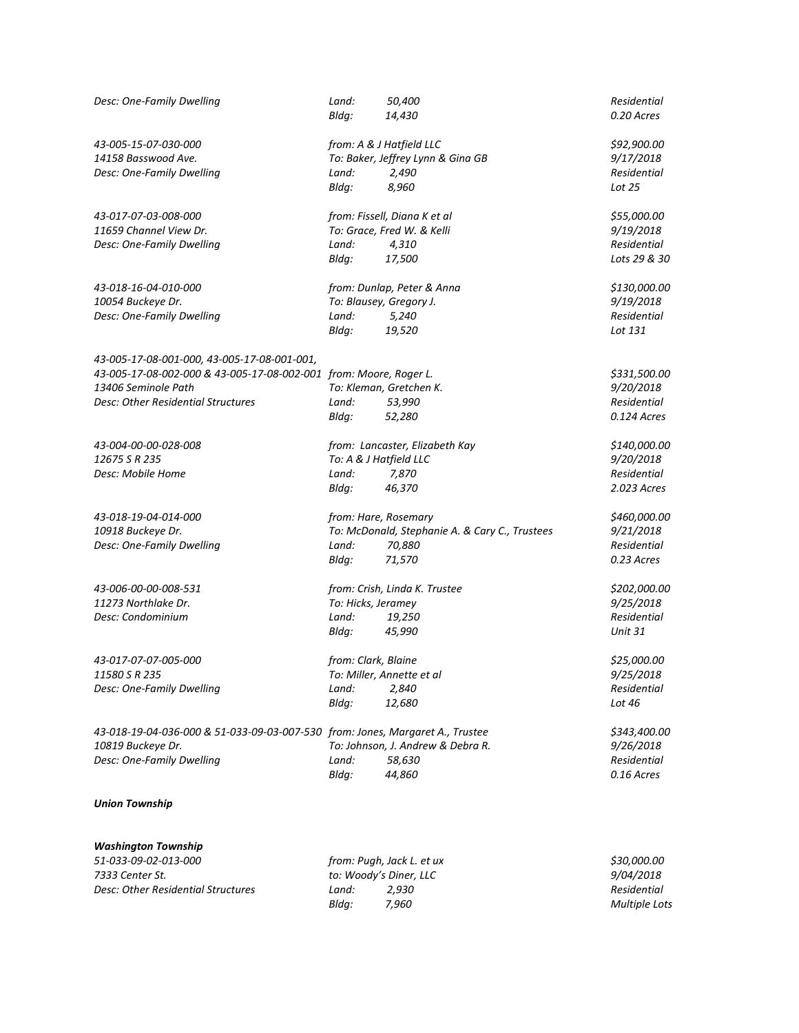| Desc: One-Family Dwelling                                                     | Land:<br>Bldg:         | 50,400<br>14,430                               | Residential<br>0.20 Acres |
|-------------------------------------------------------------------------------|------------------------|------------------------------------------------|---------------------------|
| 43-005-15-07-030-000                                                          |                        | from: A & J Hatfield LLC                       | \$92,900.00               |
| 14158 Basswood Ave.                                                           |                        | To: Baker, Jeffrey Lynn & Gina GB              | 9/17/2018                 |
| Desc: One-Family Dwelling                                                     | Land:                  | 2,490                                          | Residential               |
|                                                                               | Bldg:                  | 8,960                                          | Lot 25                    |
| 43-017-07-03-008-000                                                          |                        | from: Fissell, Diana K et al                   | \$55,000.00               |
| 11659 Channel View Dr.                                                        |                        | To: Grace, Fred W. & Kelli                     | 9/19/2018                 |
| Desc: One-Family Dwelling                                                     | Land:                  | 4,310                                          | Residential               |
|                                                                               | Bldg:                  | 17,500                                         | Lots 29 & 30              |
| 43-018-16-04-010-000                                                          |                        | from: Dunlap, Peter & Anna                     | \$130,000.00              |
| 10054 Buckeye Dr.                                                             |                        | To: Blausey, Gregory J.                        | 9/19/2018                 |
| Desc: One-Family Dwelling                                                     | Land:                  | 5,240                                          | Residential               |
|                                                                               | Bldg:                  | 19,520                                         | Lot 131                   |
| 43-005-17-08-001-000, 43-005-17-08-001-001,                                   |                        |                                                |                           |
| 43-005-17-08-002-000 & 43-005-17-08-002-001 from: Moore, Roger L.             |                        |                                                | \$331,500.00              |
| 13406 Seminole Path                                                           |                        | To: Kleman, Gretchen K.                        | 9/20/2018                 |
| Desc: Other Residential Structures                                            | Land:                  | 53,990                                         | Residential               |
|                                                                               | Bldg:                  | 52,280                                         | 0.124 Acres               |
| 43-004-00-00-028-008                                                          |                        | from: Lancaster, Elizabeth Kay                 | \$140,000.00              |
| 12675 S R 235                                                                 | To: A & J Hatfield LLC |                                                | 9/20/2018                 |
| Desc: Mobile Home                                                             | Land:                  | 7,870                                          | Residential               |
|                                                                               | Bldg:                  | 46,370                                         | 2.023 Acres               |
| 43-018-19-04-014-000                                                          |                        | from: Hare, Rosemary                           | \$460,000.00              |
| 10918 Buckeye Dr.                                                             |                        | To: McDonald, Stephanie A. & Cary C., Trustees | 9/21/2018                 |
| Desc: One-Family Dwelling                                                     | Land:                  | 70,880                                         | Residential               |
|                                                                               | Bldg:                  | 71,570                                         | 0.23 Acres                |
| 43-006-00-00-008-531                                                          |                        | from: Crish, Linda K. Trustee                  | \$202,000.00              |
| 11273 Northlake Dr.                                                           | To: Hicks, Jeramey     |                                                | 9/25/2018                 |
| Desc: Condominium                                                             | Land:                  | 19,250                                         | Residential               |
|                                                                               | Bldg:                  | 45,990                                         | <b>Unit 31</b>            |
| 43-017-07-07-005-000                                                          | from: Clark, Blaine    |                                                | \$25,000.00               |
| 11580 S R 235                                                                 |                        | To: Miller, Annette et al                      | 9/25/2018                 |
| Desc: One-Family Dwelling                                                     | Land:                  | 2,840                                          | Residential               |
|                                                                               | Bldg:                  | 12,680                                         | Lot 46                    |
| 43-018-19-04-036-000 & 51-033-09-03-007-530 from: Jones, Margaret A., Trustee |                        |                                                | \$343,400.00              |
| 10819 Buckeye Dr.                                                             |                        | To: Johnson, J. Andrew & Debra R.              | 9/26/2018                 |
| Desc: One-Family Dwelling                                                     | Land:                  | 58,630                                         | Residential               |
|                                                                               | Bldg:                  | 44,860                                         | 0.16 Acres                |
| <b>Union Township</b>                                                         |                        |                                                |                           |
| <b>Washington Township</b>                                                    |                        |                                                |                           |
| 51-033-09-02-013-000                                                          |                        | from: Pugh, Jack L. et ux                      | \$30,000.00               |
| 7333 Center St.                                                               |                        | to: Woody's Diner, LLC                         | <i>9/04/2018</i>          |
| Desc: Other Residential Structures                                            | Land:                  | 2,930                                          | Residential               |
|                                                                               | Bldg:                  | 7,960                                          | Multiple Lots             |

*Bldg: 7,960 Multiple Lots*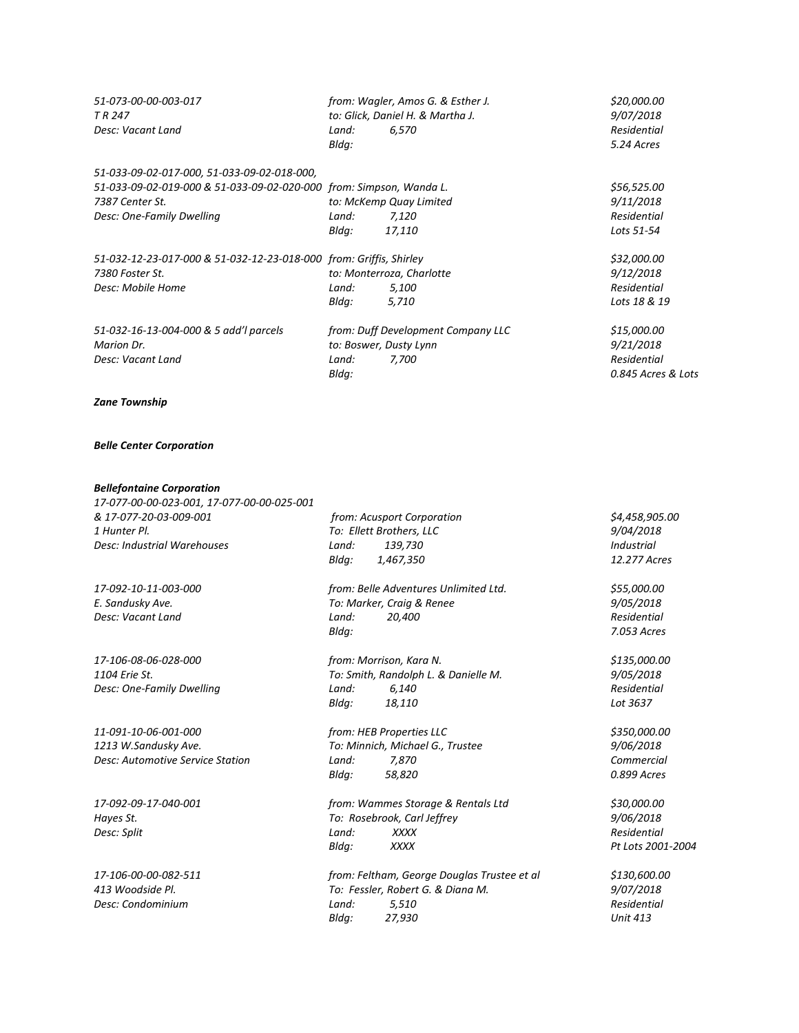| 51-073-00-00-003-017<br>TR 247<br>Desc: Vacant Land                 | Land: | from: Wagler, Amos G. & Esther J.<br>to: Glick, Daniel H. & Martha J.<br>6,570 | \$20,000.00<br>9/07/2018<br>Residential |
|---------------------------------------------------------------------|-------|--------------------------------------------------------------------------------|-----------------------------------------|
|                                                                     | Bldg: |                                                                                | 5.24 Acres                              |
| 51-033-09-02-017-000, 51-033-09-02-018-000,                         |       |                                                                                |                                         |
| 51-033-09-02-019-000 & 51-033-09-02-020-000 from: Simpson, Wanda L. |       |                                                                                | \$56,525.00                             |
| 7387 Center St.                                                     |       | to: McKemp Quay Limited                                                        | 9/11/2018                               |
| Desc: One-Family Dwelling                                           | Land: | 7,120                                                                          | Residential                             |
|                                                                     | Bldg: | 17,110                                                                         | Lots 51-54                              |
| 51-032-12-23-017-000 & 51-032-12-23-018-000 from: Griffis, Shirley  |       |                                                                                | \$32,000.00                             |
| 7380 Foster St.                                                     |       | to: Monterroza, Charlotte                                                      | 9/12/2018                               |
| Desc: Mobile Home                                                   | Land: | 5,100                                                                          | Residential                             |
|                                                                     | Bldg: | 5,710                                                                          | Lots 18 & 19                            |
| 51-032-16-13-004-000 & 5 add'l parcels                              |       | from: Duff Development Company LLC                                             | \$15,000.00                             |
| Marion Dr.                                                          |       | to: Boswer, Dusty Lynn                                                         | 9/21/2018                               |
| Desc: Vacant Land                                                   | Land: | 7,700                                                                          | Residential                             |
|                                                                     | Bldg: |                                                                                | 0.845 Acres & Lots                      |

## *Zane Township*

## *Belle Center Corporation*

## *Bellefontaine Corporation*

*17-077-00-00-023-001, 17-077-00-00-025-001 & 17-077-20-03-009-001 from: Acusport Corporation \$4,458,905.00 1 Hunter Pl. To: Ellett Brothers, LLC 9/04/2018 Desc: Industrial Warehouses Land: 139,730 Industrial*

*1213 W.Sandusky Ave. To: Minnich, Michael G., Trustee 9/06/2018 Desc: Automotive Service Station Land: 7,870 Commercial*

**Desc: Condominium** *Land:* **5,510** 

*Bldg: 1,467,350 12.277 Acres 17-092-10-11-003-000 from: Belle Adventures Unlimited Ltd. \$55,000.00*

*E. Sandusky Ave. To: Marker, Craig & Renee 9/05/2018 Desc: Vacant Land Land: 20,400 Residential Bldg: 7.053 Acres*

*17-106-08-06-028-000 from: Morrison, Kara N. \$135,000.00 1104 Erie St. To: Smith, Randolph L. & Danielle M. 9/05/2018 Desc: One-Family Dwelling Land: 6,140 Residential Bldg: 18,110 Lot 3637*

*11-091-10-06-001-000 from: HEB Properties LLC \$350,000.00 Bldg: 58,820 0.899 Acres*

*17-092-09-17-040-001 from: Wammes Storage & Rentals Ltd \$30,000.00 Hayes St. To: Rosebrook, Carl Jeffrey 9/06/2018 Desc: Split Land: XXXX Residential Bldg: XXXX Pt Lots 2001-2004*

*17-106-00-00-082-511 from: Feltham, George Douglas Trustee et al \$130,600.00 413 Woodside Pl. To: Fessler, Robert G. & Diana M. 9/07/2018 Bldg: 27,930 Unit 413*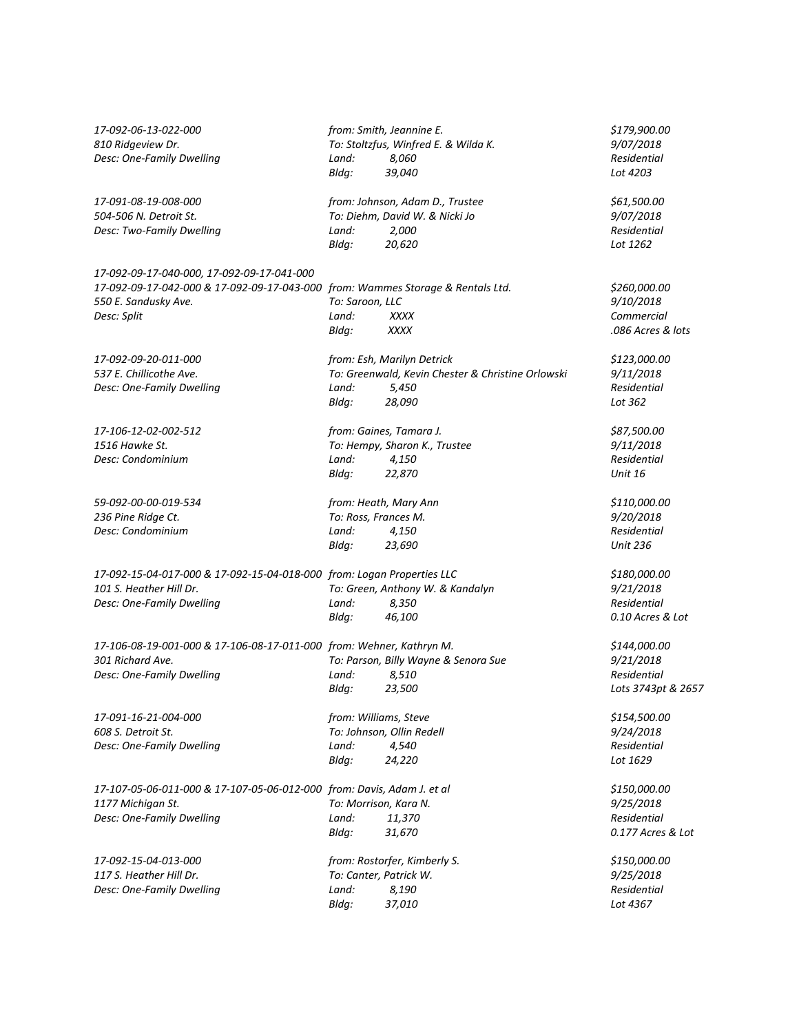| 17-092-06-13-022-000<br>810 Ridgeview Dr.<br>Desc: One-Family Dwelling                                                                                               | Land:<br>Bldg:                           | from: Smith, Jeannine E.<br>To: Stoltzfus, Winfred E. & Wilda K.<br>8,060<br>39,040                | \$179,900.00<br>9/07/2018<br>Residential<br>Lot 4203           |
|----------------------------------------------------------------------------------------------------------------------------------------------------------------------|------------------------------------------|----------------------------------------------------------------------------------------------------|----------------------------------------------------------------|
| 17-091-08-19-008-000<br>504-506 N. Detroit St.<br>Desc: Two-Family Dwelling                                                                                          | Land:<br>Bldg:                           | from: Johnson, Adam D., Trustee<br>To: Diehm, David W. & Nicki Jo<br>2,000<br>20,620               | \$61,500.00<br>9/07/2018<br>Residential<br>Lot 1262            |
| 17-092-09-17-040-000, 17-092-09-17-041-000<br>17-092-09-17-042-000 & 17-092-09-17-043-000 from: Wammes Storage & Rentals Ltd.<br>550 E. Sandusky Ave.<br>Desc: Split | To: Saroon, LLC<br>Land:<br>Bldg:        | <b>XXXX</b><br><b>XXXX</b>                                                                         | \$260,000.00<br>9/10/2018<br>Commercial<br>.086 Acres & lots   |
| 17-092-09-20-011-000<br>537 E. Chillicothe Ave.<br>Desc: One-Family Dwelling                                                                                         | Land:<br>Bldg:                           | from: Esh, Marilyn Detrick<br>To: Greenwald, Kevin Chester & Christine Orlowski<br>5,450<br>28,090 | \$123,000.00<br>9/11/2018<br>Residential<br>Lot 362            |
| 17-106-12-02-002-512<br>1516 Hawke St.<br>Desc: Condominium                                                                                                          | Land:<br>Bldg:                           | from: Gaines, Tamara J.<br>To: Hempy, Sharon K., Trustee<br>4,150<br>22,870                        | \$87,500.00<br>9/11/2018<br>Residential<br><b>Unit 16</b>      |
| 59-092-00-00-019-534<br>236 Pine Ridge Ct.<br>Desc: Condominium                                                                                                      | To: Ross, Frances M.<br>Land:<br>Bldg:   | from: Heath, Mary Ann<br>4,150<br>23,690                                                           | \$110,000.00<br>9/20/2018<br>Residential<br><b>Unit 236</b>    |
| 17-092-15-04-017-000 & 17-092-15-04-018-000 from: Logan Properties LLC<br>101 S. Heather Hill Dr.<br>Desc: One-Family Dwelling                                       | Land:<br>Bldg:                           | To: Green, Anthony W. & Kandalyn<br>8,350<br>46,100                                                | \$180,000.00<br>9/21/2018<br>Residential<br>0.10 Acres & Lot   |
| 17-106-08-19-001-000 & 17-106-08-17-011-000 from: Wehner, Kathryn M.<br>301 Richard Ave.<br>Desc: One-Family Dwelling                                                | Land:<br>Bldg:                           | To: Parson, Billy Wayne & Senora Sue<br>8,510<br>23,500                                            | \$144,000.00<br>9/21/2018<br>Residential<br>Lots 3743pt & 2657 |
| 17-091-16-21-004-000<br>608 S. Detroit St.<br>Desc: One-Family Dwelling                                                                                              | from: Williams, Steve<br>Land:<br>Bldg:  | To: Johnson, Ollin Redell<br>4,540<br>24,220                                                       | \$154,500.00<br>9/24/2018<br>Residential<br>Lot 1629           |
| 17-107-05-06-011-000 & 17-107-05-06-012-000 from: Davis, Adam J. et al<br>1177 Michigan St.<br>Desc: One-Family Dwelling                                             | To: Morrison, Kara N.<br>Land:<br>Bldg:  | 11,370<br>31,670                                                                                   | \$150,000.00<br>9/25/2018<br>Residential<br>0.177 Acres & Lot  |
| 17-092-15-04-013-000<br>117 S. Heather Hill Dr.<br>Desc: One-Family Dwelling                                                                                         | To: Canter, Patrick W.<br>Land:<br>Bldg: | from: Rostorfer, Kimberly S.<br>8,190<br>37,010                                                    | \$150,000.00<br>9/25/2018<br>Residential<br>Lot 4367           |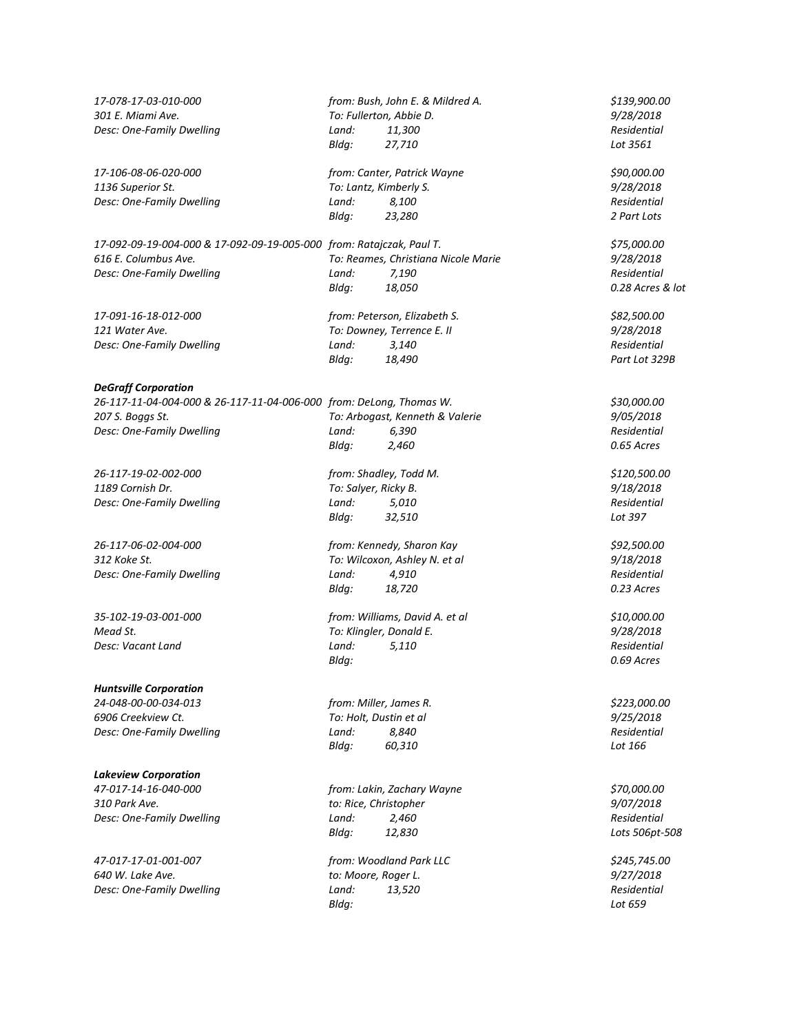| 17-078-17-03-010-000                                                 |       | from: Bush, John E. & Mildred A.    | \$139,900.00     |
|----------------------------------------------------------------------|-------|-------------------------------------|------------------|
| 301 E. Miami Ave.                                                    |       | To: Fullerton, Abbie D.             | 9/28/2018        |
| Desc: One-Family Dwelling                                            | Land: | 11,300                              | Residential      |
|                                                                      | Bldg: | 27,710                              | Lot 3561         |
| 17-106-08-06-020-000                                                 |       | from: Canter, Patrick Wayne         | \$90,000.00      |
| 1136 Superior St.                                                    |       | To: Lantz, Kimberly S.              | 9/28/2018        |
| Desc: One-Family Dwelling                                            | Land: | 8,100                               | Residential      |
|                                                                      | Bldg: | 23,280                              | 2 Part Lots      |
| 17-092-09-19-004-000 & 17-092-09-19-005-000 from: Ratajczak, Paul T. |       |                                     | \$75,000.00      |
| 616 E. Columbus Ave.                                                 |       | To: Reames, Christiana Nicole Marie | 9/28/2018        |
| Desc: One-Family Dwelling                                            | Land: | 7,190                               | Residential      |
|                                                                      | Bldg: | 18,050                              | 0.28 Acres & lot |
| 17-091-16-18-012-000                                                 |       | from: Peterson, Elizabeth S.        | \$82,500.00      |
| 121 Water Ave.                                                       |       | To: Downey, Terrence E. II          | 9/28/2018        |
| Desc: One-Family Dwelling                                            | Land: | 3,140                               | Residential      |
|                                                                      | Bldg: | 18,490                              | Part Lot 329B    |
| <b>DeGraff Corporation</b>                                           |       |                                     |                  |
| 26-117-11-04-004-000 & 26-117-11-04-006-000 from: DeLong, Thomas W.  |       |                                     | \$30,000.00      |
| 207 S. Boggs St.                                                     |       | To: Arbogast, Kenneth & Valerie     | 9/05/2018        |
| Desc: One-Family Dwelling                                            | Land: | 6,390                               | Residential      |
|                                                                      | Bldg: | 2,460                               | 0.65 Acres       |
| 26-117-19-02-002-000                                                 |       | from: Shadley, Todd M.              | \$120,500.00     |
| 1189 Cornish Dr.                                                     |       | To: Salyer, Ricky B.                | 9/18/2018        |
| Desc: One-Family Dwelling                                            | Land: | 5,010                               | Residential      |
|                                                                      | Bldg: | 32,510                              | Lot 397          |
| 26-117-06-02-004-000                                                 |       | from: Kennedy, Sharon Kay           | \$92,500.00      |
| 312 Koke St.                                                         |       | To: Wilcoxon, Ashley N. et al       | 9/18/2018        |
| Desc: One-Family Dwelling                                            | Land: | 4,910                               | Residential      |
|                                                                      | Bldg: | 18,720                              | 0.23 Acres       |
| 35-102-19-03-001-000                                                 |       | from: Williams, David A. et al      | \$10,000.00      |
| Mead St.                                                             |       | To: Klingler, Donald E.             | 9/28/2018        |
| Desc: Vacant Land                                                    | Land: | 5,110                               | Residential      |
|                                                                      | Bldg: |                                     | 0.69 Acres       |
| <b>Huntsville Corporation</b>                                        |       |                                     |                  |
| 24-048-00-00-034-013                                                 |       | from: Miller, James R.              | \$223,000.00     |
| 6906 Creekview Ct.                                                   |       | To: Holt, Dustin et al              | 9/25/2018        |
| Desc: One-Family Dwelling                                            | Land: | 8,840                               | Residential      |
|                                                                      | Bldg: | 60,310                              | Lot 166          |
| <b>Lakeview Corporation</b>                                          |       |                                     |                  |
| 47-017-14-16-040-000                                                 |       | from: Lakin, Zachary Wayne          | \$70,000.00      |
| 310 Park Ave.                                                        |       | to: Rice, Christopher               | 9/07/2018        |
| Desc: One-Family Dwelling                                            | Land: | 2,460                               | Residential      |
|                                                                      | Bldg: | 12,830                              | Lots 506pt-508   |
| 47-017-17-01-001-007                                                 |       | from: Woodland Park LLC             | \$245,745.00     |
| 640 W. Lake Ave.                                                     |       | to: Moore, Roger L.                 | 9/27/2018        |
| Desc: One-Family Dwelling                                            | Land: | 13,520                              | Residential      |
|                                                                      | Bldg: |                                     | Lot 659          |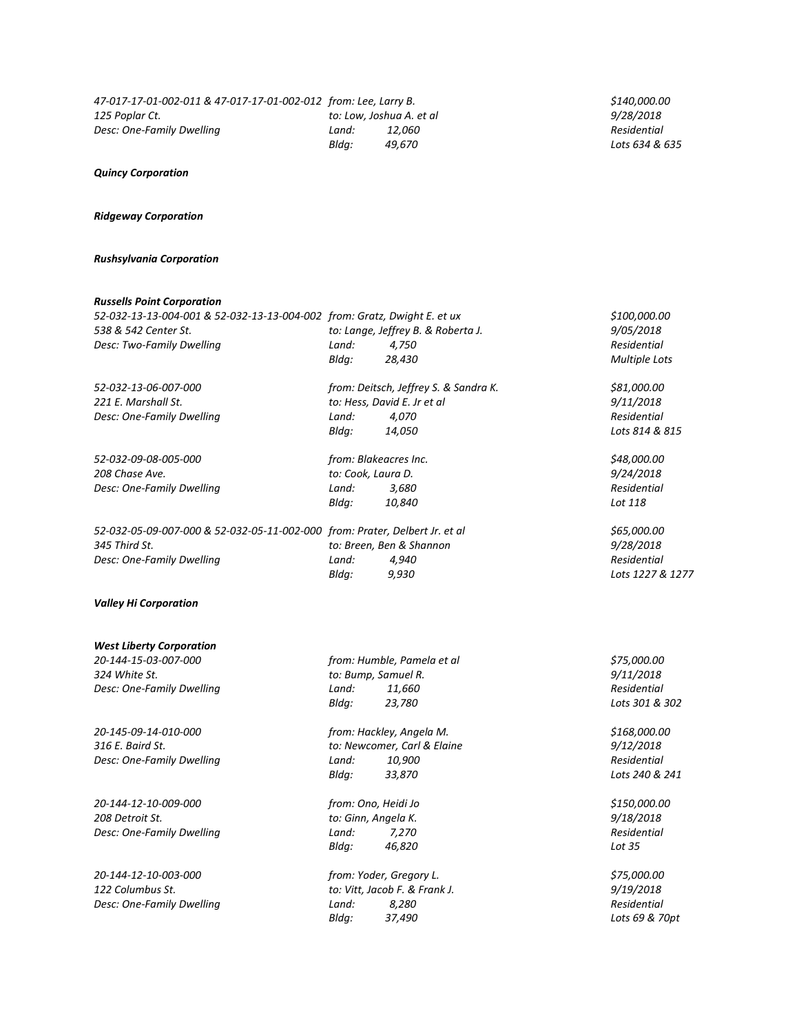# *Quincy Corporation*

## *Ridgeway Corporation*

# *Rushsylvania Corporation*

# *Russells Point Corporation*

| nussens romt corporution<br>52-032-13-13-004-001 & 52-032-13-13-004-002 from: Gratz, Dwight E. et ux |                                    |                                       | \$100,000.00         |
|------------------------------------------------------------------------------------------------------|------------------------------------|---------------------------------------|----------------------|
| 538 & 542 Center St.                                                                                 | to: Lange, Jeffrey B. & Roberta J. | 9/05/2018                             |                      |
| Desc: Two-Family Dwelling                                                                            | Land:                              | Residential                           |                      |
|                                                                                                      | Bldg:                              | 4,750<br>28,430                       | <b>Multiple Lots</b> |
|                                                                                                      |                                    |                                       |                      |
| 52-032-13-06-007-000                                                                                 |                                    | from: Deitsch, Jeffrey S. & Sandra K. | \$81,000.00          |
| 221 E. Marshall St.                                                                                  |                                    | to: Hess, David E. Jr et al           | 9/11/2018            |
| Desc: One-Family Dwelling                                                                            | Land:                              | 4,070                                 | Residential          |
|                                                                                                      | Bldg:                              | 14,050                                | Lots 814 & 815       |
| 52-032-09-08-005-000                                                                                 |                                    | from: Blakeacres Inc.                 | \$48,000.00          |
| 208 Chase Ave.                                                                                       | to: Cook, Laura D.                 |                                       | 9/24/2018            |
| Desc: One-Family Dwelling                                                                            | Land:                              | 3,680                                 | Residential          |
|                                                                                                      | Bldg:                              | 10,840                                | Lot 118              |
| 52-032-05-09-007-000 & 52-032-05-11-002-000 from: Prater, Delbert Jr. et al                          |                                    |                                       | \$65,000.00          |
| 345 Third St.                                                                                        |                                    | to: Breen, Ben & Shannon              | 9/28/2018            |
| Desc: One-Family Dwelling                                                                            | Land:                              | 4,940                                 | Residential          |
|                                                                                                      | Bldg:                              | 9,930                                 | Lots 1227 & 1277     |
|                                                                                                      |                                    |                                       |                      |
| <b>Valley Hi Corporation</b>                                                                         |                                    |                                       |                      |
| <b>West Liberty Corporation</b>                                                                      |                                    |                                       |                      |
| 20-144-15-03-007-000                                                                                 |                                    | from: Humble, Pamela et al            | \$75,000.00          |
| 324 White St.                                                                                        |                                    | to: Bump, Samuel R.                   | 9/11/2018            |
| Desc: One-Family Dwelling                                                                            | Land:                              | 11,660                                | <b>Residential</b>   |
|                                                                                                      | Bldg:                              | 23,780                                | Lots 301 & 302       |
|                                                                                                      |                                    |                                       |                      |
| 20-145-09-14-010-000                                                                                 |                                    | from: Hackley, Angela M.              | \$168,000.00         |
| 316 E. Baird St.                                                                                     |                                    | to: Newcomer, Carl & Elaine           | 9/12/2018            |
| Desc: One-Family Dwelling                                                                            | Land:                              | 10,900                                | Residential          |
|                                                                                                      | Bldq:                              | 33,870                                | Lots 240 & 241       |
| 20-144-12-10-009-000                                                                                 |                                    | from: Ono, Heidi Jo                   | \$150,000.00         |
| 208 Detroit St.                                                                                      | to: Ginn, Angela K.                |                                       | 9/18/2018            |
| Desc: One-Family Dwelling                                                                            | Land:                              | 7,270                                 | Residential          |
|                                                                                                      | Bldg:                              | 46,820                                | Lot 35               |
| 20-144-12-10-003-000                                                                                 |                                    | from: Yoder, Gregory L.               | \$75,000.00          |
| 122 Columbus St.                                                                                     |                                    | to: Vitt, Jacob F. & Frank J.         | 9/19/2018            |
| Desc: One-Family Dwelling                                                                            | Land:                              | 8,280                                 | <b>Residential</b>   |
|                                                                                                      | Bldg:                              | 37,490                                | Lots 69 & 70pt       |
|                                                                                                      |                                    |                                       |                      |